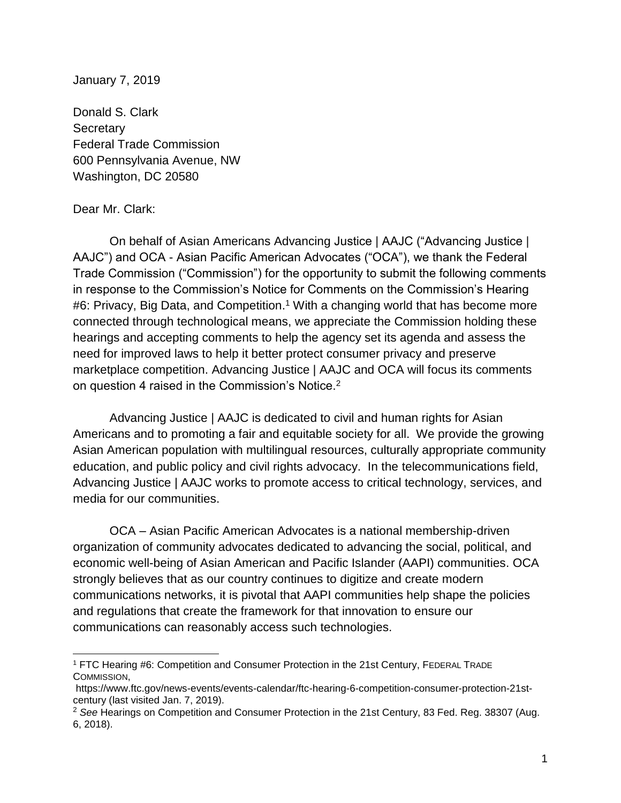January 7, 2019

Donald S. Clark **Secretary** Federal Trade Commission 600 Pennsylvania Avenue, NW Washington, DC 20580

### Dear Mr. Clark:

 On behalf of Asian Americans Advancing Justice | AAJC ("Advancing Justice | AAJC") and OCA - Asian Pacific American Advocates ("OCA"), we thank the Federal Trade Commission ("Commission") for the opportunity to submit the following comments in response to the Commission's Notice for Comments on the Commission's Hearing #6: Privacy, Big Data, and Competition.<sup>1</sup> With a changing world that has become more connected through technological means, we appreciate the Commission holding these hearings and accepting comments to help the agency set its agenda and assess the need for improved laws to help it better protect consumer privacy and preserve marketplace competition. Advancing Justice | AAJC and OCA will focus its comments on question 4 raised in the Commission's Notice.<sup>2</sup>

 Advancing Justice | AAJC is dedicated to civil and human rights for Asian Americans and to promoting a fair and equitable society for all. We provide the growing Asian American population with multilingual resources, culturally appropriate community education, and public policy and civil rights advocacy. In the telecommunications field, Advancing Justice | AAJC works to promote access to critical technology, services, and media for our communities.

OCA – Asian Pacific American Advocates is a national membership-driven organization of community advocates dedicated to advancing the social, political, and economic well-being of Asian American and Pacific Islander (AAPI) communities. OCA strongly believes that as our country continues to digitize and create modern communications networks, it is pivotal that AAPI communities help shape the policies and regulations that create the framework for that innovation to ensure our communications can reasonably access such technologies.

<sup>1</sup> FTC Hearing #6: Competition and Consumer Protection in the 21st Century, FEDERAL TRADE COMMISSION,

https://www.ftc.gov/news-events/events-calendar/ftc-hearing-6-competition-consumer-protection-21stcentury (last visited Jan. 7, 2019).

<sup>2</sup> *See* Hearings on Competition and Consumer Protection in the 21st Century, 83 Fed. Reg. 38307 (Aug. 6, 2018).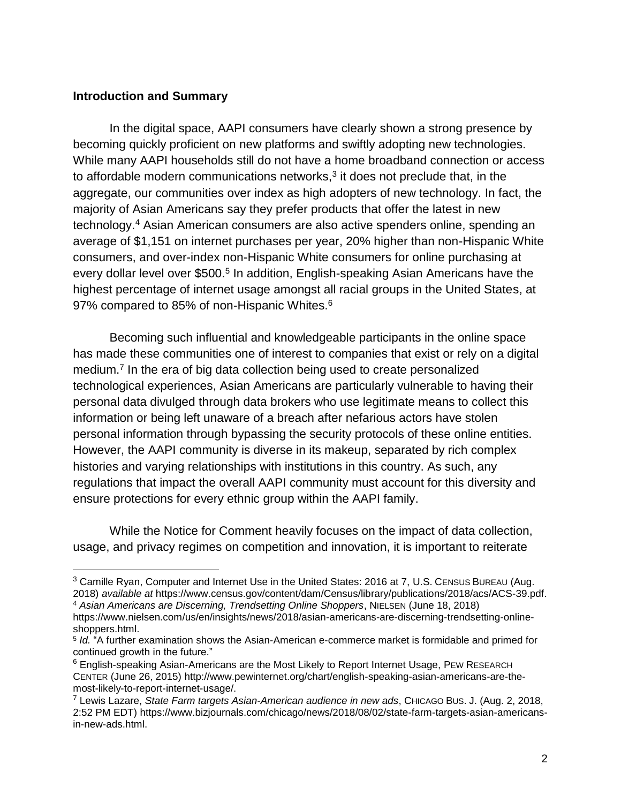### **Introduction and Summary**

In the digital space, AAPI consumers have clearly shown a strong presence by becoming quickly proficient on new platforms and swiftly adopting new technologies. While many AAPI households still do not have a home broadband connection or access to affordable modern communications networks, $3$  it does not preclude that, in the aggregate, our communities over index as high adopters of new technology. In fact, the majority of Asian Americans say they prefer products that offer the latest in new technology.<sup>4</sup> Asian American consumers are also active spenders online, spending an average of \$1,151 on internet purchases per year, 20% higher than non-Hispanic White consumers, and over-index non-Hispanic White consumers for online purchasing at every dollar level over \$500.<sup>5</sup> In addition, English-speaking Asian Americans have the highest percentage of internet usage amongst all racial groups in the United States, at 97% compared to 85% of non-Hispanic Whites.<sup>6</sup>

Becoming such influential and knowledgeable participants in the online space has made these communities one of interest to companies that exist or rely on a digital medium.<sup>7</sup> In the era of big data collection being used to create personalized technological experiences, Asian Americans are particularly vulnerable to having their personal data divulged through data brokers who use legitimate means to collect this information or being left unaware of a breach after nefarious actors have stolen personal information through bypassing the security protocols of these online entities. However, the AAPI community is diverse in its makeup, separated by rich complex histories and varying relationships with institutions in this country. As such, any regulations that impact the overall AAPI community must account for this diversity and ensure protections for every ethnic group within the AAPI family.

While the Notice for Comment heavily focuses on the impact of data collection, usage, and privacy regimes on competition and innovation, it is important to reiterate

 $3$  Camille Ryan, Computer and Internet Use in the United States: 2016 at 7, U.S. CENSUS BUREAU (Aug. 2018) *available at* https://www.census.gov/content/dam/Census/library/publications/2018/acs/ACS-39.pdf. <sup>4</sup> *Asian Americans are Discerning, Trendsetting Online Shoppers*, NIELSEN (June 18, 2018)

https://www.nielsen.com/us/en/insights/news/2018/asian-americans-are-discerning-trendsetting-onlineshoppers.html.

<sup>5</sup> *Id.* "A further examination shows the Asian-American e-commerce market is formidable and primed for continued growth in the future."

 $6$  English-speaking Asian-Americans are the Most Likely to Report Internet Usage, PEW RESEARCH CENTER (June 26, 2015) http://www.pewinternet.org/chart/english-speaking-asian-americans-are-themost-likely-to-report-internet-usage/.

<sup>7</sup> Lewis Lazare, *State Farm targets Asian-American audience in new ads*, CHICAGO BUS. J. (Aug. 2, 2018, 2:52 PM EDT) https://www.bizjournals.com/chicago/news/2018/08/02/state-farm-targets-asian-americansin-new-ads.html.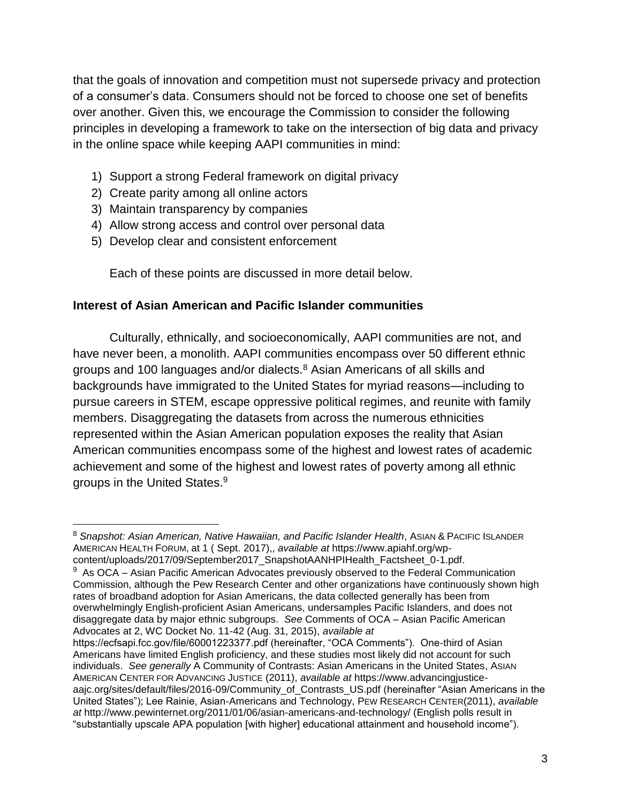that the goals of innovation and competition must not supersede privacy and protection of a consumer's data. Consumers should not be forced to choose one set of benefits over another. Given this, we encourage the Commission to consider the following principles in developing a framework to take on the intersection of big data and privacy in the online space while keeping AAPI communities in mind:

- 1) Support a strong Federal framework on digital privacy
- 2) Create parity among all online actors
- 3) Maintain transparency by companies

- 4) Allow strong access and control over personal data
- 5) Develop clear and consistent enforcement

Each of these points are discussed in more detail below.

### **Interest of Asian American and Pacific Islander communities**

Culturally, ethnically, and socioeconomically, AAPI communities are not, and have never been, a monolith. AAPI communities encompass over 50 different ethnic groups and 100 languages and/or dialects.<sup>8</sup> Asian Americans of all skills and backgrounds have immigrated to the United States for myriad reasons—including to pursue careers in STEM, escape oppressive political regimes, and reunite with family members. Disaggregating the datasets from across the numerous ethnicities represented within the Asian American population exposes the reality that Asian American communities encompass some of the highest and lowest rates of academic achievement and some of the highest and lowest rates of poverty among all ethnic groups in the United States.<sup>9</sup>

<sup>8</sup> *Snapshot: Asian American, Native Hawaiian, and Pacific Islander Health*, ASIAN & PACIFIC ISLANDER AMERICAN HEALTH FORUM, at 1 ( Sept. 2017),, *available at* https://www.apiahf.org/wpcontent/uploads/2017/09/September2017\_SnapshotAANHPIHealth\_Factsheet\_0-1.pdf.

<sup>&</sup>lt;sup>9</sup> As OCA – Asian Pacific American Advocates previously observed to the Federal Communication Commission, although the Pew Research Center and other organizations have continuously shown high rates of broadband adoption for Asian Americans, the data collected generally has been from overwhelmingly English-proficient Asian Americans, undersamples Pacific Islanders, and does not disaggregate data by major ethnic subgroups. *See* Comments of OCA – Asian Pacific American Advocates at 2, WC Docket No. 11-42 (Aug. 31, 2015), *available at*

https://ecfsapi.fcc.gov/file/60001223377.pdf (hereinafter, "OCA Comments"). One-third of Asian Americans have limited English proficiency, and these studies most likely did not account for such individuals. *See generally* A Community of Contrasts: Asian Americans in the United States, ASIAN AMERICAN CENTER FOR ADVANCING JUSTICE (2011), *available at* https://www.advancingjusticeaajc.org/sites/default/files/2016-09/Community\_of\_Contrasts\_US.pdf (hereinafter "Asian Americans in the United States"); Lee Rainie, Asian-Americans and Technology, PEW RESEARCH CENTER(2011), *available at* http://www.pewinternet.org/2011/01/06/asian-americans-and-technology/ (English polls result in "substantially upscale APA population [with higher] educational attainment and household income").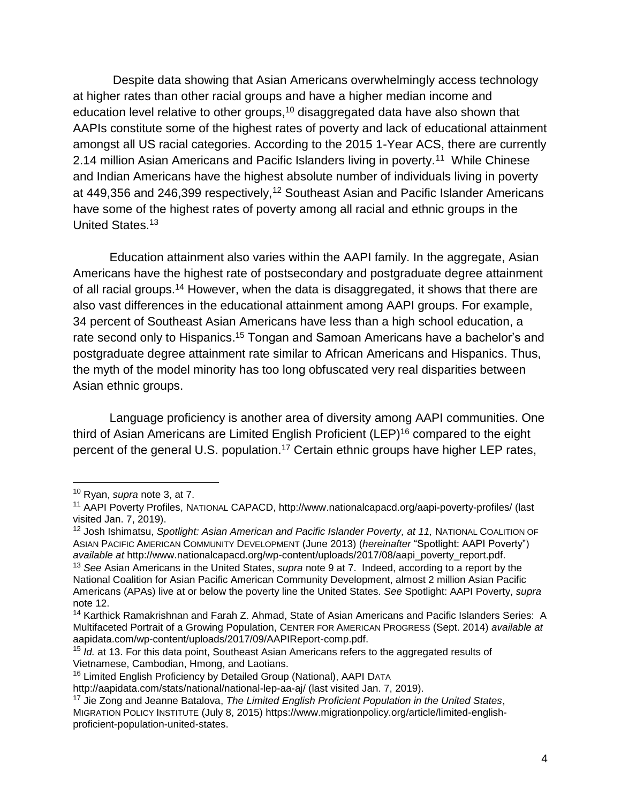Despite data showing that Asian Americans overwhelmingly access technology at higher rates than other racial groups and have a higher median income and education level relative to other groups,<sup>10</sup> disaggregated data have also shown that AAPIs constitute some of the highest rates of poverty and lack of educational attainment amongst all US racial categories. According to the 2015 1-Year ACS, there are currently 2.14 million Asian Americans and Pacific Islanders living in poverty.<sup>11</sup> While Chinese and Indian Americans have the highest absolute number of individuals living in poverty at 449,356 and 246,399 respectively,<sup>12</sup> Southeast Asian and Pacific Islander Americans have some of the highest rates of poverty among all racial and ethnic groups in the United States.<sup>13</sup>

Education attainment also varies within the AAPI family. In the aggregate, Asian Americans have the highest rate of postsecondary and postgraduate degree attainment of all racial groups.<sup>14</sup> However, when the data is disaggregated, it shows that there are also vast differences in the educational attainment among AAPI groups. For example, 34 percent of Southeast Asian Americans have less than a high school education, a rate second only to Hispanics.<sup>15</sup> Tongan and Samoan Americans have a bachelor's and postgraduate degree attainment rate similar to African Americans and Hispanics. Thus, the myth of the model minority has too long obfuscated very real disparities between Asian ethnic groups.

Language proficiency is another area of diversity among AAPI communities. One third of Asian Americans are Limited English Proficient (LEP)<sup>16</sup> compared to the eight percent of the general U.S. population.<sup>17</sup> Certain ethnic groups have higher LEP rates,

<sup>10</sup> Ryan, *supra* note 3, at 7.

<sup>11</sup> AAPI Poverty Profiles, NATIONAL CAPACD, http://www.nationalcapacd.org/aapi-poverty-profiles/ (last visited Jan. 7, 2019).

<sup>12</sup> Josh Ishimatsu, *Spotlight: Asian American and Pacific Islander Poverty, at 11,* NATIONAL COALITION OF ASIAN PACIFIC AMERICAN COMMUNITY DEVELOPMENT (June 2013) (*hereinafter* "Spotlight: AAPI Poverty") *available at http://www.nationalcapacd.org/wp-content/uploads/2017/08/aapi\_poverty\_report.pdf.* 

<sup>13</sup> *See* Asian Americans in the United States, *supra* note 9 at 7. Indeed, according to a report by the National Coalition for Asian Pacific American Community Development, almost 2 million Asian Pacific Americans (APAs) live at or below the poverty line the United States. *See* Spotlight: AAPI Poverty, *supra* note 12.

<sup>&</sup>lt;sup>14</sup> Karthick Ramakrishnan and Farah Z. Ahmad, State of Asian Americans and Pacific Islanders Series: A Multifaceted Portrait of a Growing Population, CENTER FOR AMERICAN PROGRESS (Sept. 2014) *available at* aapidata.com/wp-content/uploads/2017/09/AAPIReport-comp.pdf.

<sup>15</sup> *Id.* at 13. For this data point, Southeast Asian Americans refers to the aggregated results of Vietnamese, Cambodian, Hmong, and Laotians.

<sup>16</sup> Limited English Proficiency by Detailed Group (National), AAPI DATA

http://aapidata.com/stats/national/national-lep-aa-aj/ (last visited Jan. 7, 2019).

<sup>17</sup> Jie Zong and Jeanne Batalova, *The Limited English Proficient Population in the United States*, MIGRATION POLICY INSTITUTE (July 8, 2015) https://www.migrationpolicy.org/article/limited-englishproficient-population-united-states.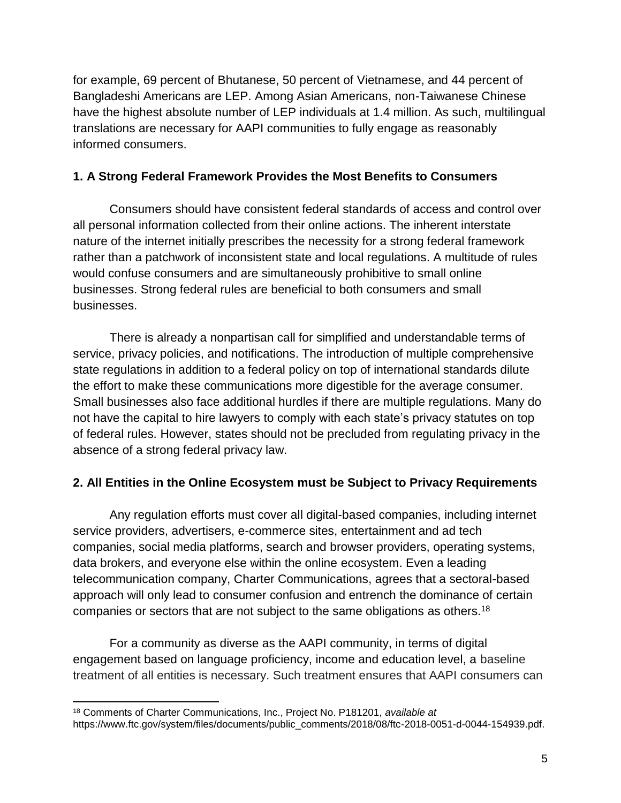for example, 69 percent of Bhutanese, 50 percent of Vietnamese, and 44 percent of Bangladeshi Americans are LEP. Among Asian Americans, non-Taiwanese Chinese have the highest absolute number of LEP individuals at 1.4 million. As such, multilingual translations are necessary for AAPI communities to fully engage as reasonably informed consumers.

### **1. A Strong Federal Framework Provides the Most Benefits to Consumers**

Consumers should have consistent federal standards of access and control over all personal information collected from their online actions. The inherent interstate nature of the internet initially prescribes the necessity for a strong federal framework rather than a patchwork of inconsistent state and local regulations. A multitude of rules would confuse consumers and are simultaneously prohibitive to small online businesses. Strong federal rules are beneficial to both consumers and small businesses.

There is already a nonpartisan call for simplified and understandable terms of service, privacy policies, and notifications. The introduction of multiple comprehensive state regulations in addition to a federal policy on top of international standards dilute the effort to make these communications more digestible for the average consumer. Small businesses also face additional hurdles if there are multiple regulations. Many do not have the capital to hire lawyers to comply with each state's privacy statutes on top of federal rules. However, states should not be precluded from regulating privacy in the absence of a strong federal privacy law.

### **2. All Entities in the Online Ecosystem must be Subject to Privacy Requirements**

Any regulation efforts must cover all digital-based companies, including internet service providers, advertisers, e-commerce sites, entertainment and ad tech companies, social media platforms, search and browser providers, operating systems, data brokers, and everyone else within the online ecosystem. Even a leading telecommunication company, Charter Communications, agrees that a sectoral-based approach will only lead to consumer confusion and entrench the dominance of certain companies or sectors that are not subject to the same obligations as others.<sup>18</sup>

For a community as diverse as the AAPI community, in terms of digital engagement based on language proficiency, income and education level, a baseline treatment of all entities is necessary. Such treatment ensures that AAPI consumers can

 $\overline{a}$ 

<sup>18</sup> Comments of Charter Communications, Inc., Project No. P181201, *available at* https://www.ftc.gov/system/files/documents/public\_comments/2018/08/ftc-2018-0051-d-0044-154939.pdf.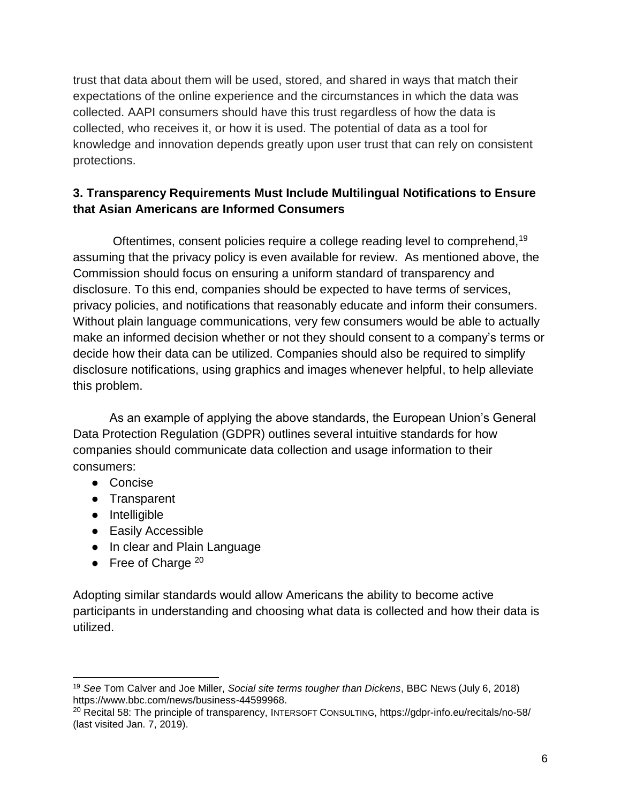trust that data about them will be used, stored, and shared in ways that match their expectations of the online experience and the circumstances in which the data was collected. AAPI consumers should have this trust regardless of how the data is collected, who receives it, or how it is used. The potential of data as a tool for knowledge and innovation depends greatly upon user trust that can rely on consistent protections.

# **3. Transparency Requirements Must Include Multilingual Notifications to Ensure that Asian Americans are Informed Consumers**

Oftentimes, consent policies require a college reading level to comprehend,<sup>19</sup> assuming that the privacy policy is even available for review. As mentioned above, the Commission should focus on ensuring a uniform standard of transparency and disclosure. To this end, companies should be expected to have terms of services, privacy policies, and notifications that reasonably educate and inform their consumers. Without plain language communications, very few consumers would be able to actually make an informed decision whether or not they should consent to a company's terms or decide how their data can be utilized. Companies should also be required to simplify disclosure notifications, using graphics and images whenever helpful, to help alleviate this problem.

As an example of applying the above standards, the European Union's General Data Protection Regulation (GDPR) outlines several intuitive standards for how companies should communicate data collection and usage information to their consumers:

- Concise
- Transparent
- Intelligible

- Easily Accessible
- In clear and Plain Language
- Free of Charge  $20$

Adopting similar standards would allow Americans the ability to become active participants in understanding and choosing what data is collected and how their data is utilized.

<sup>19</sup> *See* Tom Calver and Joe Miller, *Social site terms tougher than Dickens*, BBC NEWS (July 6, 2018) https://www.bbc.com/news/business-44599968.

<sup>20</sup> Recital 58: The principle of transparency, INTERSOFT CONSULTING, https://gdpr-info.eu/recitals/no-58/ (last visited Jan. 7, 2019).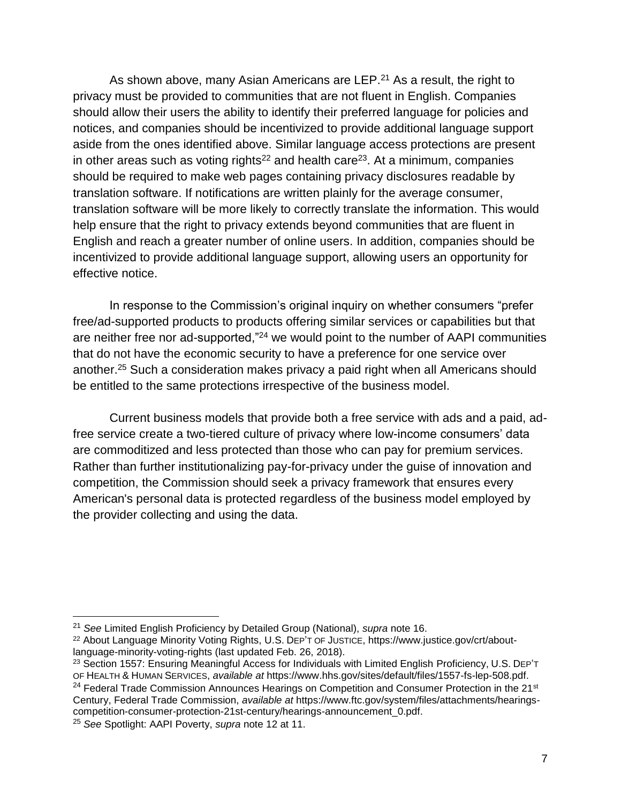As shown above, many Asian Americans are LEP.<sup>21</sup> As a result, the right to privacy must be provided to communities that are not fluent in English. Companies should allow their users the ability to identify their preferred language for policies and notices, and companies should be incentivized to provide additional language support aside from the ones identified above. Similar language access protections are present in other areas such as voting rights<sup>22</sup> and health care<sup>23</sup>. At a minimum, companies should be required to make web pages containing privacy disclosures readable by translation software. If notifications are written plainly for the average consumer, translation software will be more likely to correctly translate the information. This would help ensure that the right to privacy extends beyond communities that are fluent in English and reach a greater number of online users. In addition, companies should be incentivized to provide additional language support, allowing users an opportunity for effective notice.

In response to the Commission's original inquiry on whether consumers "prefer free/ad-supported products to products offering similar services or capabilities but that are neither free nor ad-supported,"<sup>24</sup> we would point to the number of AAPI communities that do not have the economic security to have a preference for one service over another.<sup>25</sup> Such a consideration makes privacy a paid right when all Americans should be entitled to the same protections irrespective of the business model.

Current business models that provide both a free service with ads and a paid, adfree service create a two-tiered culture of privacy where low-income consumers' data are commoditized and less protected than those who can pay for premium services. Rather than further institutionalizing pay-for-privacy under the guise of innovation and competition, the Commission should seek a privacy framework that ensures every American's personal data is protected regardless of the business model employed by the provider collecting and using the data.

 $\overline{a}$ 

<sup>21</sup> *See* Limited English Proficiency by Detailed Group (National), *supra* note 16.

<sup>22</sup> About Language Minority Voting Rights, U.S. DEP'T OF JUSTICE, https://www.justice.gov/crt/aboutlanguage-minority-voting-rights (last updated Feb. 26, 2018).

<sup>&</sup>lt;sup>23</sup> Section 1557: Ensuring Meaningful Access for Individuals with Limited English Proficiency, U.S. DEP'T OF HEALTH & HUMAN SERVICES, *available at* https://www.hhs.gov/sites/default/files/1557-fs-lep-508.pdf.

<sup>&</sup>lt;sup>24</sup> Federal Trade Commission Announces Hearings on Competition and Consumer Protection in the 21<sup>st</sup> Century, Federal Trade Commission, *available at* https://www.ftc.gov/system/files/attachments/hearingscompetition-consumer-protection-21st-century/hearings-announcement\_0.pdf.

<sup>25</sup> *See* Spotlight: AAPI Poverty, *supra* note 12 at 11.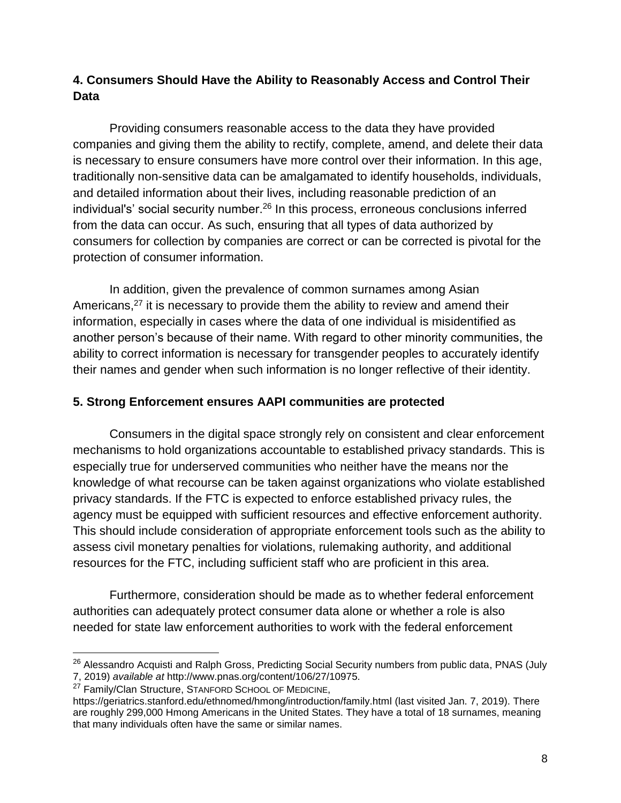## **4. Consumers Should Have the Ability to Reasonably Access and Control Their Data**

Providing consumers reasonable access to the data they have provided companies and giving them the ability to rectify, complete, amend, and delete their data is necessary to ensure consumers have more control over their information. In this age, traditionally non-sensitive data can be amalgamated to identify households, individuals, and detailed information about their lives, including reasonable prediction of an individual's' social security number.<sup>26</sup> In this process, erroneous conclusions inferred from the data can occur. As such, ensuring that all types of data authorized by consumers for collection by companies are correct or can be corrected is pivotal for the protection of consumer information.

In addition, given the prevalence of common surnames among Asian Americans,<sup>27</sup> it is necessary to provide them the ability to review and amend their information, especially in cases where the data of one individual is misidentified as another person's because of their name. With regard to other minority communities, the ability to correct information is necessary for transgender peoples to accurately identify their names and gender when such information is no longer reflective of their identity.

## **5. Strong Enforcement ensures AAPI communities are protected**

Consumers in the digital space strongly rely on consistent and clear enforcement mechanisms to hold organizations accountable to established privacy standards. This is especially true for underserved communities who neither have the means nor the knowledge of what recourse can be taken against organizations who violate established privacy standards. If the FTC is expected to enforce established privacy rules, the agency must be equipped with sufficient resources and effective enforcement authority. This should include consideration of appropriate enforcement tools such as the ability to assess civil monetary penalties for violations, rulemaking authority, and additional resources for the FTC, including sufficient staff who are proficient in this area.

Furthermore, consideration should be made as to whether federal enforcement authorities can adequately protect consumer data alone or whether a role is also needed for state law enforcement authorities to work with the federal enforcement

 $\overline{a}$ 

<sup>&</sup>lt;sup>26</sup> Alessandro Acquisti and Ralph Gross, Predicting Social Security numbers from public data, PNAS (July 7, 2019) *available at* http://www.pnas.org/content/106/27/10975.

<sup>&</sup>lt;sup>27</sup> Family/Clan Structure, STANFORD SCHOOL OF MEDICINE,

https://geriatrics.stanford.edu/ethnomed/hmong/introduction/family.html (last visited Jan. 7, 2019). There are roughly 299,000 Hmong Americans in the United States. They have a total of 18 surnames, meaning that many individuals often have the same or similar names.